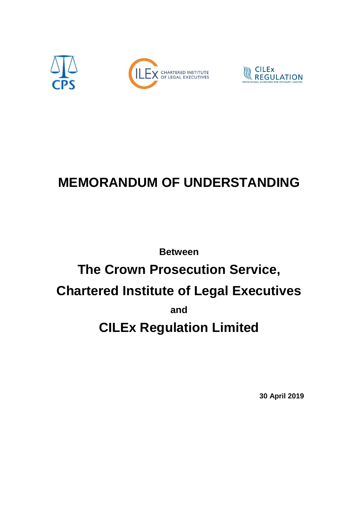

# **MEMORANDUM OF UNDERSTANDING**

# **Between The Crown Prosecution Service, Chartered Institute of Legal Executives and CILEx Regulation Limited**

**30 April 2019**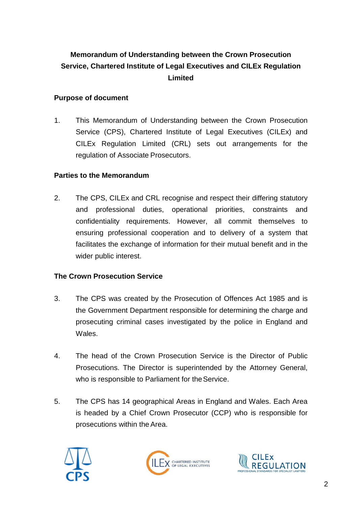# **Memorandum of Understanding between the Crown Prosecution Service, Chartered Institute of Legal Executives and CILEx Regulation Limited**

# **Purpose of document**

1. This Memorandum of Understanding between the Crown Prosecution Service (CPS), Chartered Institute of Legal Executives (CILEx) and CILEx Regulation Limited (CRL) sets out arrangements for the regulation of Associate Prosecutors.

# **Parties to the Memorandum**

2. The CPS, CILEx and CRL recognise and respect their differing statutory and professional duties, operational priorities, constraints and confidentiality requirements. However, all commit themselves to ensuring professional cooperation and to delivery of a system that facilitates the exchange of information for their mutual benefit and in the wider public interest.

# **The Crown Prosecution Service**

- 3. The CPS was created by the Prosecution of Offences Act 1985 and is the Government Department responsible for determining the charge and prosecuting criminal cases investigated by the police in England and Wales.
- 4. The head of the Crown Prosecution Service is the Director of Public Prosecutions. The Director is superintended by the Attorney General, who is responsible to Parliament for the Service.
- 5. The CPS has 14 geographical Areas in England and Wales. Each Area is headed by a Chief Crown Prosecutor (CCP) who is responsible for prosecutions within the Area.





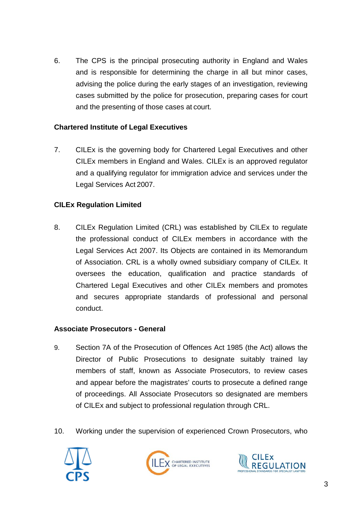6. The CPS is the principal prosecuting authority in England and Wales and is responsible for determining the charge in all but minor cases, advising the police during the early stages of an investigation, reviewing cases submitted by the police for prosecution, preparing cases for court and the presenting of those cases at court.

# **Chartered Institute of Legal Executives**

7. CILEx is the governing body for Chartered Legal Executives and other CILEx members in England and Wales. CILEx is an approved regulator and a qualifying regulator for immigration advice and services under the Legal Services Act 2007.

# **CILEx Regulation Limited**

8. CILEx Regulation Limited (CRL) was established by CILEx to regulate the professional conduct of CILEx members in accordance with the Legal Services Act 2007. Its Objects are contained in its Memorandum of Association. CRL is a wholly owned subsidiary company of CILEx. It oversees the education, qualification and practice standards of Chartered Legal Executives and other CILEx members and promotes and secures appropriate standards of professional and personal conduct.

#### **Associate Prosecutors - General**

- 9. Section 7A of the Prosecution of Offences Act 1985 (the Act) allows the Director of Public Prosecutions to designate suitably trained lay members of staff, known as Associate Prosecutors, to review cases and appear before the magistrates' courts to prosecute a defined range of proceedings. All Associate Prosecutors so designated are members of CILEx and subject to professional regulation through CRL.
- 10. Working under the supervision of experienced Crown Prosecutors, who





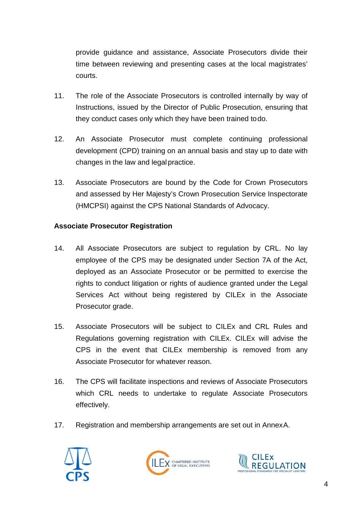provide guidance and assistance, Associate Prosecutors divide their time between reviewing and presenting cases at the local magistrates' courts.

- 11. The role of the Associate Prosecutors is controlled internally by way of Instructions, issued by the Director of Public Prosecution, ensuring that they conduct cases only which they have been trained todo.
- 12. An Associate Prosecutor must complete continuing professional development (CPD) training on an annual basis and stay up to date with changes in the law and legal practice.
- 13. Associate Prosecutors are bound by the Code for Crown Prosecutors and assessed by Her Majesty's Crown Prosecution Service Inspectorate (HMCPSI) against the CPS National Standards of Advocacy.

# **Associate Prosecutor Registration**

- 14. All Associate Prosecutors are subject to regulation by CRL. No lay employee of the CPS may be designated under Section 7A of the Act, deployed as an Associate Prosecutor or be permitted to exercise the rights to conduct litigation or rights of audience granted under the Legal Services Act without being registered by CILEx in the Associate Prosecutor grade.
- 15. Associate Prosecutors will be subject to CILEx and CRL Rules and Regulations governing registration with CILEx. CILEx will advise the CPS in the event that CILEx membership is removed from any Associate Prosecutor for whatever reason.
- 16. The CPS will facilitate inspections and reviews of Associate Prosecutors which CRL needs to undertake to regulate Associate Prosecutors effectively.
- 17. Registration and membership arrangements are set out in AnnexA.





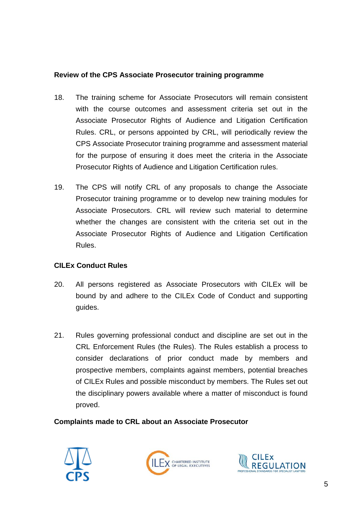# **Review of the CPS Associate Prosecutor training programme**

- 18. The training scheme for Associate Prosecutors will remain consistent with the course outcomes and assessment criteria set out in the Associate Prosecutor Rights of Audience and Litigation Certification Rules. CRL, or persons appointed by CRL, will periodically review the CPS Associate Prosecutor training programme and assessment material for the purpose of ensuring it does meet the criteria in the Associate Prosecutor Rights of Audience and Litigation Certification rules.
- 19. The CPS will notify CRL of any proposals to change the Associate Prosecutor training programme or to develop new training modules for Associate Prosecutors. CRL will review such material to determine whether the changes are consistent with the criteria set out in the Associate Prosecutor Rights of Audience and Litigation Certification Rules.

# **CILEx Conduct Rules**

- 20. All persons registered as Associate Prosecutors with CILEx will be bound by and adhere to the CILEx Code of Conduct and supporting guides.
- 21. Rules governing professional conduct and discipline are set out in the CRL Enforcement Rules (the Rules). The Rules establish a process to consider declarations of prior conduct made by members and prospective members, complaints against members, potential breaches of CILEx Rules and possible misconduct by members. The Rules set out the disciplinary powers available where a matter of misconduct is found proved.

# **Complaints made to CRL about an Associate Prosecutor**





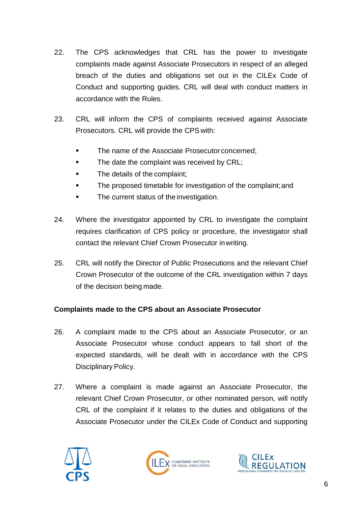- 22. The CPS acknowledges that CRL has the power to investigate complaints made against Associate Prosecutors in respect of an alleged breach of the duties and obligations set out in the CILEx Code of Conduct and supporting guides. CRL will deal with conduct matters in accordance with the Rules.
- 23. CRL will inform the CPS of complaints received against Associate Prosecutors. CRL will provide the CPS with:
	- The name of the Associate Prosecutor concerned;
	- The date the complaint was received by CRL;
	- The details of the complaint;
	- **The proposed timetable for investigation of the complaint; and**
	- The current status of the investigation.
- 24. Where the investigator appointed by CRL to investigate the complaint requires clarification of CPS policy or procedure, the investigator shall contact the relevant Chief Crown Prosecutor inwriting.
- 25. CRL will notify the Director of Public Prosecutions and the relevant Chief Crown Prosecutor of the outcome of the CRL investigation within 7 days of the decision being made.

# **Complaints made to the CPS about an Associate Prosecutor**

- 26. A complaint made to the CPS about an Associate Prosecutor, or an Associate Prosecutor whose conduct appears to fall short of the expected standards, will be dealt with in accordance with the CPS Disciplinary Policy.
- 27. Where a complaint is made against an Associate Prosecutor, the relevant Chief Crown Prosecutor, or other nominated person, will notify CRL of the complaint if it relates to the duties and obligations of the Associate Prosecutor under the CILEx Code of Conduct and supporting





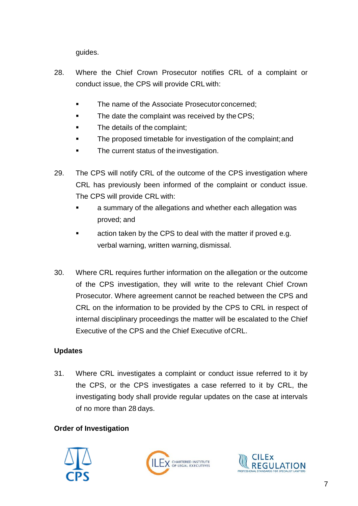guides.

- 28. Where the Chief Crown Prosecutor notifies CRL of a complaint or conduct issue, the CPS will provide CRLwith:
	- The name of the Associate Prosecutor concerned;
	- The date the complaint was received by the CPS;
	- **The details of the complaint;**
	- The proposed timetable for investigation of the complaint;and
	- The current status of the investigation.
- 29. The CPS will notify CRL of the outcome of the CPS investigation where CRL has previously been informed of the complaint or conduct issue. The CPS will provide CRL with:
	- a summary of the allegations and whether each allegation was proved; and
	- **Example 2** action taken by the CPS to deal with the matter if proved e.g. verbal warning, written warning, dismissal.
- 30. Where CRL requires further information on the allegation or the outcome of the CPS investigation, they will write to the relevant Chief Crown Prosecutor. Where agreement cannot be reached between the CPS and CRL on the information to be provided by the CPS to CRL in respect of internal disciplinary proceedings the matter will be escalated to the Chief Executive of the CPS and the Chief Executive ofCRL.

# **Updates**

31. Where CRL investigates a complaint or conduct issue referred to it by the CPS, or the CPS investigates a case referred to it by CRL, the investigating body shall provide regular updates on the case at intervals of no more than 28 days.

# **Order of Investigation**





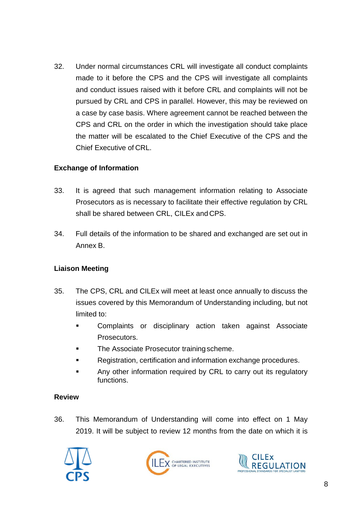32. Under normal circumstances CRL will investigate all conduct complaints made to it before the CPS and the CPS will investigate all complaints and conduct issues raised with it before CRL and complaints will not be pursued by CRL and CPS in parallel. However, this may be reviewed on a case by case basis. Where agreement cannot be reached between the CPS and CRL on the order in which the investigation should take place the matter will be escalated to the Chief Executive of the CPS and the Chief Executive of CRL.

# **Exchange of Information**

- 33. It is agreed that such management information relating to Associate Prosecutors as is necessary to facilitate their effective regulation by CRL shall be shared between CRL, CILEx and CPS.
- 34. Full details of the information to be shared and exchanged are set out in Annex B.

# **Liaison Meeting**

- 35. The CPS, CRL and CILEx will meet at least once annually to discuss the issues covered by this Memorandum of Understanding including, but not limited to:
	- Complaints or disciplinary action taken against Associate Prosecutors.
	- **The Associate Prosecutor training scheme.**
	- Registration, certification and information exchange procedures.
	- Any other information required by CRL to carry out its regulatory functions.

# **Review**

36. This Memorandum of Understanding will come into effect on 1 May 2019. It will be subject to review 12 months from the date on which it is





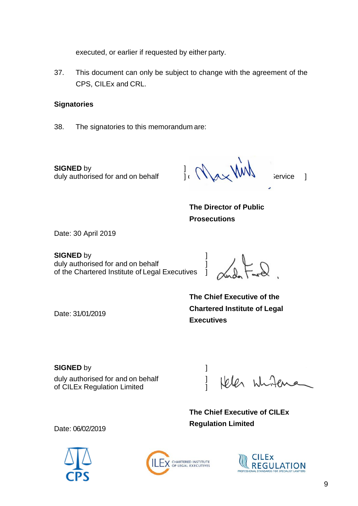executed, or earlier if requested by either party.

37. This document can only be subject to change with the agreement of the CPS, CILEx and CRL.

#### **Signatories**

38. The signatories to this memorandum are:

**SIGNED** by duly authorised for and on behalf  $\prod_{i} \bigwedge_{i} \bigwedge_{i}$ duly authorised for and on behalf  $\qquad$  ]  $\qquad \qquad$   $\qquad \qquad$  VVVV service ]

**The Director of Public Prosecutions**

Date: 30 April 2019

Date: 31/01/2019

**SIGNED** by **]**<br>duly authorised for and on behalf **duly** duly authorised for and on behalf<br>of the Chartered Institute of Legal Executives of the Chartered Institute of Legal Executives

**The Chief Executive of the Chartered Institute of Legal Executives**

**SIGNED** by **and a** set of  $\sim$  **1** duly authorised for and on behalf [100] of CILEx Regulation Limited

White Jelen

**The Chief Executive of CILEx Regulation Limited**

Date: 06/02/2019





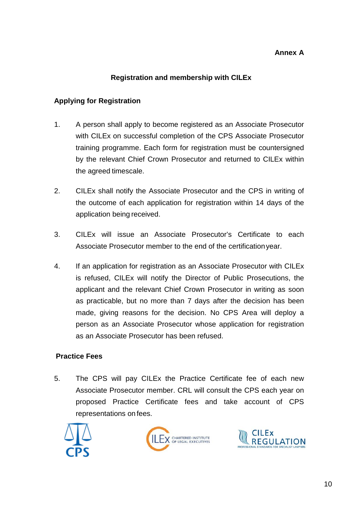# **Annex A**

# **Registration and membership with CILEx**

# **Applying for Registration**

- 1. A person shall apply to become registered as an Associate Prosecutor with CILEx on successful completion of the CPS Associate Prosecutor training programme. Each form for registration must be countersigned by the relevant Chief Crown Prosecutor and returned to CILEx within the agreed timescale.
- 2. CILEx shall notify the Associate Prosecutor and the CPS in writing of the outcome of each application for registration within 14 days of the application being received.
- 3. CILEx will issue an Associate Prosecutor's Certificate to each Associate Prosecutor member to the end of the certificationyear.
- 4. If an application for registration as an Associate Prosecutor with CILEx is refused, CILEx will notify the Director of Public Prosecutions, the applicant and the relevant Chief Crown Prosecutor in writing as soon as practicable, but no more than 7 days after the decision has been made, giving reasons for the decision. No CPS Area will deploy a person as an Associate Prosecutor whose application for registration as an Associate Prosecutor has been refused.

# **Practice Fees**

5. The CPS will pay CILEx the Practice Certificate fee of each new Associate Prosecutor member. CRL will consult the CPS each year on proposed Practice Certificate fees and take account of CPS representations on fees.





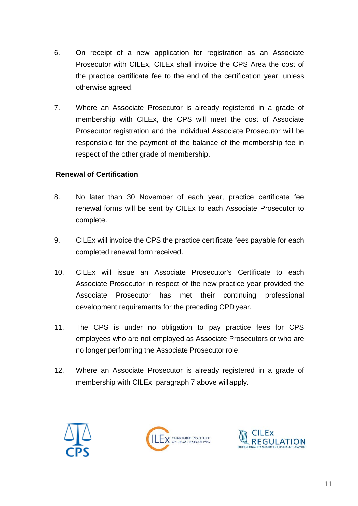- 6. On receipt of a new application for registration as an Associate Prosecutor with CILEx, CILEx shall invoice the CPS Area the cost of the practice certificate fee to the end of the certification year, unless otherwise agreed.
- 7. Where an Associate Prosecutor is already registered in a grade of membership with CILEx, the CPS will meet the cost of Associate Prosecutor registration and the individual Associate Prosecutor will be responsible for the payment of the balance of the membership fee in respect of the other grade of membership.

# **Renewal of Certification**

- 8. No later than 30 November of each year, practice certificate fee renewal forms will be sent by CILEx to each Associate Prosecutor to complete.
- 9. CILEx will invoice the CPS the practice certificate fees payable for each completed renewal form received.
- 10. CILEx will issue an Associate Prosecutor's Certificate to each Associate Prosecutor in respect of the new practice year provided the Associate Prosecutor has met their continuing professional development requirements for the preceding CPD year.
- 11. The CPS is under no obligation to pay practice fees for CPS employees who are not employed as Associate Prosecutors or who are no longer performing the Associate Prosecutor role.
- 12. Where an Associate Prosecutor is already registered in a grade of membership with CILEx, paragraph 7 above willapply.





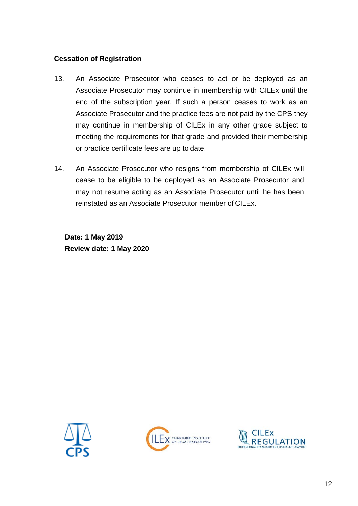## **Cessation of Registration**

- 13. An Associate Prosecutor who ceases to act or be deployed as an Associate Prosecutor may continue in membership with CILEx until the end of the subscription year. If such a person ceases to work as an Associate Prosecutor and the practice fees are not paid by the CPS they may continue in membership of CILEx in any other grade subject to meeting the requirements for that grade and provided their membership or practice certificate fees are up to date.
- 14. An Associate Prosecutor who resigns from membership of CILEx will cease to be eligible to be deployed as an Associate Prosecutor and may not resume acting as an Associate Prosecutor until he has been reinstated as an Associate Prosecutor member of CILEx.

**Date: 1 May 2019 Review date: 1 May 2020**





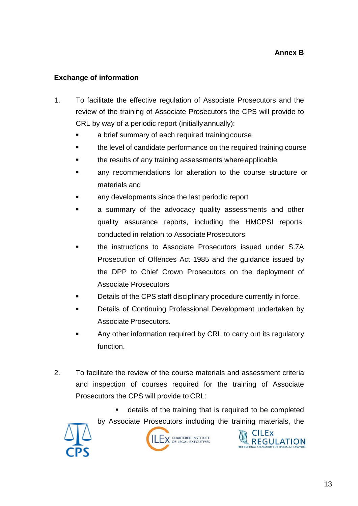# **Exchange of information**

- 1. To facilitate the effective regulation of Associate Prosecutors and the review of the training of Associate Prosecutors the CPS will provide to CRL by way of a periodic report (initiallyannually):
	- a brief summary of each required trainingcourse
	- the level of candidate performance on the required training course
	- the results of any training assessments whereapplicable
	- any recommendations for alteration to the course structure or materials and
	- any developments since the last periodic report
	- a summary of the advocacy quality assessments and other quality assurance reports, including the HMCPSI reports, conducted in relation to Associate Prosecutors
	- the instructions to Associate Prosecutors issued under S.7A Prosecution of Offences Act 1985 and the guidance issued by the DPP to Chief Crown Prosecutors on the deployment of Associate Prosecutors
	- Details of the CPS staff disciplinary procedure currently in force.
	- Details of Continuing Professional Development undertaken by Associate Prosecutors.
	- Any other information required by CRL to carry out its regulatory function.
- 2. To facilitate the review of the course materials and assessment criteria and inspection of courses required for the training of Associate Prosecutors the CPS will provide to CRL:
	- details of the training that is required to be completed by Associate Prosecutors including the training materials, the

**CILEX** 

**REGULATION** 



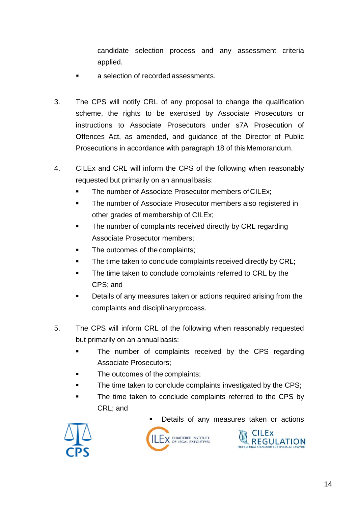candidate selection process and any assessment criteria applied.

- a selection of recorded assessments.
- 3. The CPS will notify CRL of any proposal to change the qualification scheme, the rights to be exercised by Associate Prosecutors or instructions to Associate Prosecutors under s7A Prosecution of Offences Act, as amended, and guidance of the Director of Public Prosecutions in accordance with paragraph 18 of this Memorandum.
- 4. CILEx and CRL will inform the CPS of the following when reasonably requested but primarily on an annual basis:
	- The number of Associate Prosecutor members ofCILEx;
	- The number of Associate Prosecutor members also registered in other grades of membership of CILEx;
	- The number of complaints received directly by CRL regarding Associate Prosecutor members;
	- The outcomes of the complaints;
	- The time taken to conclude complaints received directly by CRL;
	- The time taken to conclude complaints referred to CRL by the CPS; and
	- **Details of any measures taken or actions required arising from the** complaints and disciplinary process.
- 5. The CPS will inform CRL of the following when reasonably requested but primarily on an annual basis:
	- The number of complaints received by the CPS regarding Associate Prosecutors;
	- The outcomes of the complaints;
	- The time taken to conclude complaints investigated by the CPS;
	- The time taken to conclude complaints referred to the CPS by CRL; and